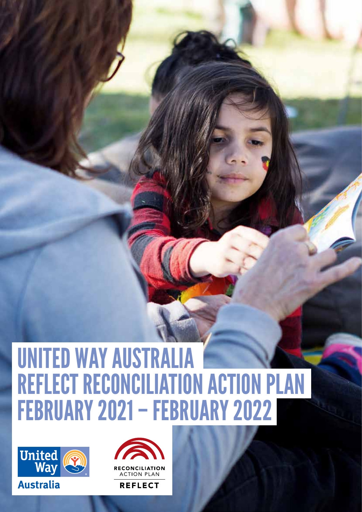## UNITED WAY AUSTRALIA REFLECT RECONCILIATION ACTION PLAN FEBRUARY 2021 – FEBRUARY 2022

OUR PARTNERSHIPS 1999

AND CURRENT ACTIVITIES



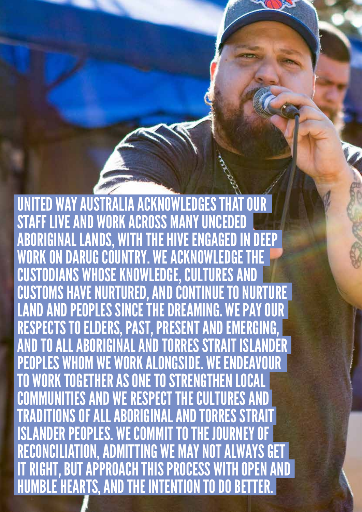UNITED WAY AUSTRALIA ACKNOWLEDGES THAT STAFF LIVE AND WORK ACROSS MANY UNCEDED ABORIGINAL LANDS, WITH THE HIVE ENGAGED IN DEEP WORK ON DARUG COUNTRY. WE ACKNOWLEDGE CUSTODIANS WHOSE KNOWLEDGE, CULTURES AND ISTOMS HAVE NURTURED, AND CONTINUE TO NURTURE LAND AND PEOPLES SINCE THE DREAMING. WE PAY OUR RESPECTS TO ELDERS, PAST, PRESENT AND EMERGING, AND TO ALL ABORIGINAL AND TORRES STRAIT ISLANDER PEOPLES WHOM WE WORK ALONGSIDE. WE ENDEAVOUR WORK TOGETHER AS ONE TO STRENGTHEN LOCAL COMMUNITIES AND WE RESPECT THE CULTURES AND TRADITIONS OF ALL ABORIGINAL AND TORRES STRAIT ISLANDER PEOPLES. WE COMMIT TO THE JOURNEY RECONCILIATION, ADMITTING WE MAY NOT ALWAYS RIGHT, BUT APPROACH THIS PROCESS WITH OPEN AND HUMBLE HEARTS, AND THE INTENTION TO DO BETTER.

OUR PARTNERSHIPS 2000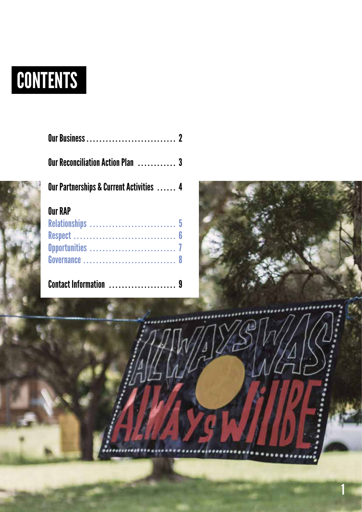# CONTENTS

| <b>Our Reconciliation Action Plan  3</b> |  |
|------------------------------------------|--|
| Our Partnerships & Current Activities  4 |  |
| <b>Our RAP</b>                           |  |
|                                          |  |
| Respect  6                               |  |
|                                          |  |
| Governance  8                            |  |
|                                          |  |
|                                          |  |
|                                          |  |
|                                          |  |



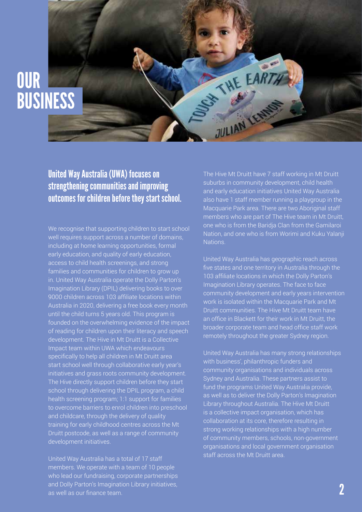### **OUR** BUSINESS

#### United Way Australia (UWA) focuses on strengthening communities and improving outcomes for children before they start school.

We recognise that supporting children to start school well requires support across a number of domains, including at home learning opportunities, formal early education, and quality of early education, access to child health screenings, and strong families and communities for children to grow up in. United Way Australia operate the Dolly Parton's Imagination Library (DPIL) delivering books to over 9000 children across 103 affiliate locations within Australia in 2020, delivering a free book every month until the child turns 5 years old. This program is founded on the overwhelming evidence of the impact of reading for children upon their literacy and speech development. The Hive in Mt Druitt is a Collective Impact team within UWA which endeavours specifically to help all children in Mt Druitt area start school well through collaborative early year's initiatives and grass roots community development. The Hive directly support children before they start school through delivering the DPIL program, a child health screening program; 1:1 support for families to overcome barriers to enrol children into preschool and childcare, through the delivery of quality training for early childhood centres across the Mt Druitt postcode, as well as a range of community development initiatives.

United Way Australia has a total of 17 staff members. We operate with a team of 10 people who lead our fundraising, corporate partnerships and Dolly Parton's Imagination Library initiatives, as well as our finance team.

The Hive Mt Druitt have 7 staff working in Mt Druitt suburbs in community development, child health and early education initiatives United Way Australia also have 1 staff member running a playgroup in the Macquarie Park area. There are two Aboriginal staff members who are part of The Hive team in Mt Druitt, one who is from the Baridja Clan from the Gamilaroi Nation, and one who is from Worimi and Kuku Yalanji Nations.

STATE EARTH

JULIAN LEN

United Way Australia has geographic reach across five states and one territory in Australia through the 103 affiliate locations in which the Dolly Parton's Imagination Library operates. The face to face community development and early years intervention work is isolated within the Macquarie Park and Mt Druitt communities. The Hive Mt Druitt team have an office in Blackett for their work in Mt Druitt, the broader corporate team and head office staff work remotely throughout the greater Sydney region.

United Way Australia has many strong relationships with business', philanthropic funders and community organisations and individuals across Sydney and Australia. These partners assist to fund the programs United Way Australia provide, as well as to deliver the Dolly Parton's Imagination Library throughout Australia. The Hive Mt Druitt is a collective impact organisation, which has collaboration at its core, therefore resulting in strong working relationships with a high number of community members, schools, non-government organisations and local government organisation staff across the Mt Druitt area.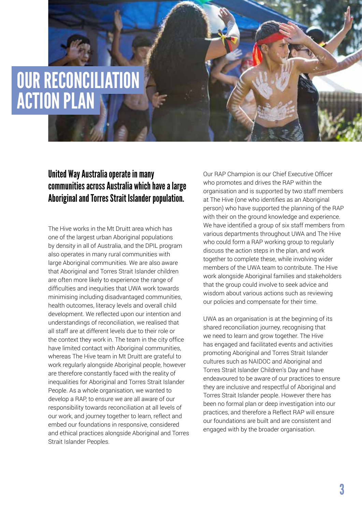### OUR RECONCILIATION ACTION PLAN

#### United Way Australia operate in many communities across Australia which have a large Aboriginal and Torres Strait Islander population.

The Hive works in the Mt Druitt area which has one of the largest urban Aboriginal populations by density in all of Australia, and the DPIL program also operates in many rural communities with large Aboriginal communities. We are also aware that Aboriginal and Torres Strait Islander children are often more likely to experience the range of difficulties and inequities that UWA work towards minimising including disadvantaged communities, health outcomes, literacy levels and overall child development. We reflected upon our intention and understandings of reconciliation, we realised that all staff are at different levels due to their role or the context they work in. The team in the city office have limited contact with Aboriginal communities, whereas The Hive team in Mt Druitt are grateful to work regularly alongside Aboriginal people, however are therefore constantly faced with the reality of inequalities for Aboriginal and Torres Strait Islander People. As a whole organisation, we wanted to develop a RAP, to ensure we are all aware of our responsibility towards reconciliation at all levels of our work, and journey together to learn, reflect and embed our foundations in responsive, considered and ethical practices alongside Aboriginal and Torres Strait Islander Peoples.

Our RAP Champion is our Chief Executive Officer who promotes and drives the RAP within the organisation and is supported by two staff members at The Hive (one who identifies as an Aboriginal person) who have supported the planning of the RAP with their on the ground knowledge and experience. We have identified a group of six staff members from various departments throughout UWA and The Hive who could form a RAP working group to regularly discuss the action steps in the plan, and work together to complete these, while involving wider members of the UWA team to contribute. The Hive work alongside Aboriginal families and stakeholders that the group could involve to seek advice and wisdom about various actions such as reviewing our policies and compensate for their time.

UWA as an organisation is at the beginning of its shared reconciliation journey, recognising that we need to learn and grow together. The Hive has engaged and facilitated events and activities promoting Aboriginal and Torres Strait Islander cultures such as NAIDOC and Aboriginal and Torres Strait Islander Children's Day and have endeavoured to be aware of our practices to ensure they are inclusive and respectful of Aboriginal and Torres Strait Islander people. However there has been no formal plan or deep investigation into our practices, and therefore a Reflect RAP will ensure our foundations are built and are consistent and engaged with by the broader organisation.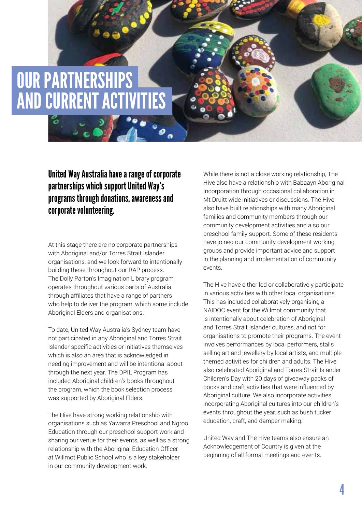### OUR PARTNERSHIPS AND CURRENT ACTIVITIES

్

United Way Australia have a range of corporate partnerships which support United Way's programs through donations, awareness and corporate volunteering.

At this stage there are no corporate partnerships with Aboriginal and/or Torres Strait Islander organisations, and we look forward to intentionally building these throughout our RAP process. The Dolly Parton's Imagination Library program operates throughout various parts of Australia through affiliates that have a range of partners who help to deliver the program, which some include Aboriginal Elders and organisations.

To date, United Way Australia's Sydney team have not participated in any Aboriginal and Torres Strait Islander specific activities or initiatives themselves which is also an area that is acknowledged in needing improvement and will be intentional about through the next year. The DPIL Program has included Aboriginal children's books throughout the program, which the book selection process was supported by Aboriginal Elders.

The Hive have strong working relationship with organisations such as Yawarra Preschool and Ngroo Education through our preschool support work and sharing our venue for their events, as well as a strong relationship with the Aboriginal Education Officer at Willmot Public School who is a key stakeholder in our community development work.

While there is not a close working relationship, The Hive also have a relationship with Babaayn Aboriginal Incorporation through occasional collaboration in Mt Druitt wide initiatives or discussions. The Hive also have built relationships with many Aboriginal families and community members through our community development activities and also our preschool family support. Some of these residents have joined our community development working groups and provide important advice and support in the planning and implementation of community events.

The Hive have either led or collaboratively participate in various activities with other local organisations. This has included collaboratively organising a NAIDOC event for the Willmot community that is intentionally about celebration of Aboriginal and Torres Strait Islander cultures, and not for organisations to promote their programs. The event involves performances by local performers, stalls selling art and jewellery by local artists, and multiple themed activities for children and adults. The Hive also celebrated Aboriginal and Torres Strait Islander Children's Day with 20 days of giveaway packs of books and craft activities that were influenced by Aboriginal culture. We also incorporate activities incorporating Aboriginal cultures into our children's events throughout the year, such as bush tucker education, craft, and damper making.

United Way and The Hive teams also ensure an Acknowledgement of Country is given at the beginning of all formal meetings and events.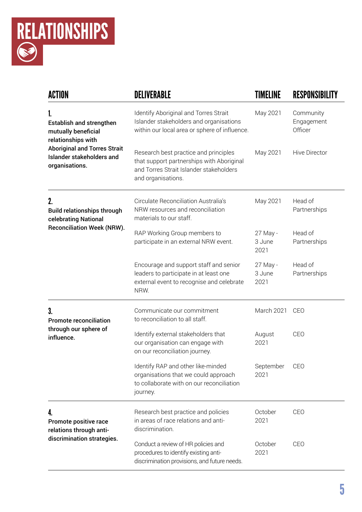

| <b>ACTION</b>                                                                                         | <b>DELIVERABLE</b>                                                                                                                                  | TIMELINE                   | RESPONSIBILITY                     |
|-------------------------------------------------------------------------------------------------------|-----------------------------------------------------------------------------------------------------------------------------------------------------|----------------------------|------------------------------------|
| 1.<br><b>Establish and strengthen</b><br>mutually beneficial<br>relationships with                    | Identify Aboriginal and Torres Strait<br>Islander stakeholders and organisations<br>within our local area or sphere of influence.                   | May 2021                   | Community<br>Engagement<br>Officer |
| <b>Aboriginal and Torres Strait</b><br>Islander stakeholders and<br>organisations.                    | Research best practice and principles<br>that support partnerships with Aboriginal<br>and Torres Strait Islander stakeholders<br>and organisations. | May 2021                   | <b>Hive Director</b>               |
| 2.<br><b>Build relationships through</b><br>celebrating National<br><b>Reconciliation Week (NRW).</b> | Circulate Reconciliation Australia's<br>NRW resources and reconciliation<br>materials to our staff.                                                 | May 2021                   | Head of<br>Partnerships            |
|                                                                                                       | RAP Working Group members to<br>participate in an external NRW event.                                                                               | 27 May -<br>3 June<br>2021 | Head of<br>Partnerships            |
|                                                                                                       | Encourage and support staff and senior<br>leaders to participate in at least one<br>external event to recognise and celebrate<br>NRW.               | 27 May -<br>3 June<br>2021 | Head of<br>Partnerships            |
| 3.<br><b>Promote reconciliation</b><br>through our sphere of<br>influence.                            | Communicate our commitment<br>to reconciliation to all staff.                                                                                       | March 2021                 | CEO                                |
|                                                                                                       | Identify external stakeholders that<br>our organisation can engage with<br>on our reconciliation journey.                                           | August<br>2021             | CEO                                |
|                                                                                                       | Identify RAP and other like-minded<br>organisations that we could approach<br>to collaborate with on our reconciliation<br>journey.                 | September<br>2021          | CEO                                |
| 4.<br>Promote positive race<br>relations through anti-<br>discrimination strategies.                  | Research best practice and policies<br>in areas of race relations and anti-<br>discrimination.                                                      | October<br>2021            | CEO                                |
|                                                                                                       | Conduct a review of HR policies and<br>procedures to identify existing anti-<br>discrimination provisions, and future needs.                        | October<br>2021            | CEO                                |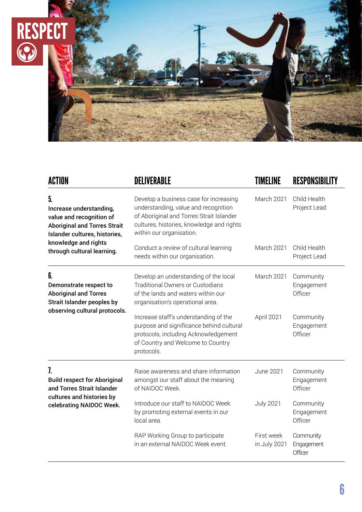

| <b>ACTION</b>                                                                                                                     | <b>DELIVERABLE</b>                                                                                                                                                                                  | TIMELINE                   | <b>RESPONSIBILITY</b>              |
|-----------------------------------------------------------------------------------------------------------------------------------|-----------------------------------------------------------------------------------------------------------------------------------------------------------------------------------------------------|----------------------------|------------------------------------|
| 5.<br>Increase understanding,<br>value and recognition of<br><b>Aboriginal and Torres Strait</b><br>Islander cultures, histories, | Develop a business case for increasing<br>understanding, value and recognition<br>of Aboriginal and Torres Strait Islander<br>cultures, histories, knowledge and rights<br>within our organisation. | March 2021                 | Child Health<br>Project Lead       |
| knowledge and rights<br>through cultural learning.                                                                                | Conduct a review of cultural learning<br>needs within our organisation.                                                                                                                             | March 2021                 | Child Health<br>Project Lead       |
| 6.<br>Demonstrate respect to<br><b>Aboriginal and Torres</b><br><b>Strait Islander peoples by</b>                                 | Develop an understanding of the local<br><b>Traditional Owners or Custodians</b><br>of the lands and waters within our<br>organisation's operational area.                                          | March 2021                 | Community<br>Engagement<br>Officer |
| observing cultural protocols.                                                                                                     | Increase staff's understanding of the<br>purpose and significance behind cultural<br>protocols, including Acknowledgement<br>of Country and Welcome to Country<br>protocols.                        | April 2021                 | Community<br>Engagement<br>Officer |
| 7.<br><b>Build respect for Aboriginal</b><br>and Torres Strait Islander                                                           | Raise awareness and share information<br>amongst our staff about the meaning<br>of NAIDOC Week.                                                                                                     | June 2021                  | Community<br>Engagement<br>Officer |
| cultures and histories by<br>celebrating NAIDOC Week.                                                                             | Introduce our staff to NAIDOC Week<br>by promoting external events in our<br>local area.                                                                                                            | <b>July 2021</b>           | Community<br>Engagement<br>Officer |
|                                                                                                                                   | RAP Working Group to participate<br>in an external NAIDOC Week event.                                                                                                                               | First week<br>in July 2021 | Community<br>Engagement<br>Officer |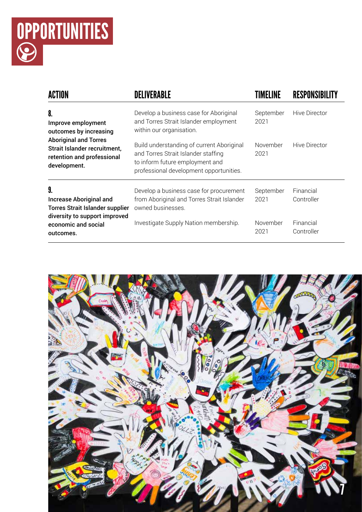

| <b>ACTION</b>                                                                                                                                                    | <b>DELIVERABIE</b>                                                                                                                                             |                   |                         |
|------------------------------------------------------------------------------------------------------------------------------------------------------------------|----------------------------------------------------------------------------------------------------------------------------------------------------------------|-------------------|-------------------------|
| 8.<br>Improve employment<br>outcomes by increasing<br><b>Aboriginal and Torres</b><br>Strait Islander recruitment,<br>retention and professional<br>development. | Develop a business case for Aboriginal<br>and Torres Strait Islander employment<br>within our organisation.                                                    | September<br>2021 | Hive Director           |
|                                                                                                                                                                  | Build understanding of current Aboriginal<br>and Torres Strait Islander staffing<br>to inform future employment and<br>professional development opportunities. | November<br>2021  | Hive Director           |
| 9.<br><b>Increase Aboriginal and</b><br><b>Torres Strait Islander supplier</b><br>diversity to support improved                                                  | Develop a business case for procurement<br>from Aboriginal and Torres Strait Islander<br>owned businesses.                                                     | September<br>2021 | Financial<br>Controller |
| economic and social<br>outcomes.                                                                                                                                 | Investigate Supply Nation membership.                                                                                                                          | November<br>2021  | Financial<br>Controller |

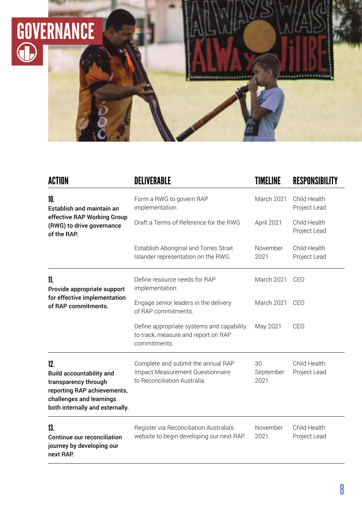

| <b>ACTION</b>                                                                                                                                                | DELIVERABLE                                                                                            | <b>TIMELINE</b>         | <b>RESPONSIBILITY</b>        |
|--------------------------------------------------------------------------------------------------------------------------------------------------------------|--------------------------------------------------------------------------------------------------------|-------------------------|------------------------------|
| 10.<br>Establish and maintain an                                                                                                                             | Form a RWG to govern RAP<br>implementation.                                                            | March 2021              | Child Health<br>Project Lead |
| effective RAP Working Group<br>(RWG) to drive governance<br>of the RAP.                                                                                      | Draft a Terms of Reference for the RWG                                                                 | April 2021              | Child Health<br>Project Lead |
|                                                                                                                                                              | Establish Aboriginal and Torres Strait<br>Islander representation on the RWG.                          | November<br>2021        | Child Health<br>Project Lead |
| 11.<br>Provide appropriate support                                                                                                                           | Define resource needs for RAP<br>implementation.                                                       | March 2021              | CEO                          |
| for effective implementation<br>of RAP commitments.                                                                                                          | Engage senior leaders in the delivery<br>of RAP commitments.                                           | March 2021              | CEO                          |
|                                                                                                                                                              | Define appropriate systems and capability<br>to track, measure and report on RAP<br>commitments.       | May 2021                | CEO                          |
| 12.<br><b>Build accountability and</b><br>transparency through<br>reporting RAP achievements,<br>challenges and learnings<br>both internally and externally. | Complete and submit the annual RAP<br>Impact Measurement Questionnaire<br>to Reconciliation Australia. | 30<br>September<br>2021 | Child Health<br>Project Lead |
| 13.<br><b>Continue our reconciliation</b><br>journey by developing our<br>next RAP.                                                                          | Register via Reconciliation Australia's<br>website to begin developing our next RAP.                   | November<br>2021        | Child Health<br>Project Lead |

.............